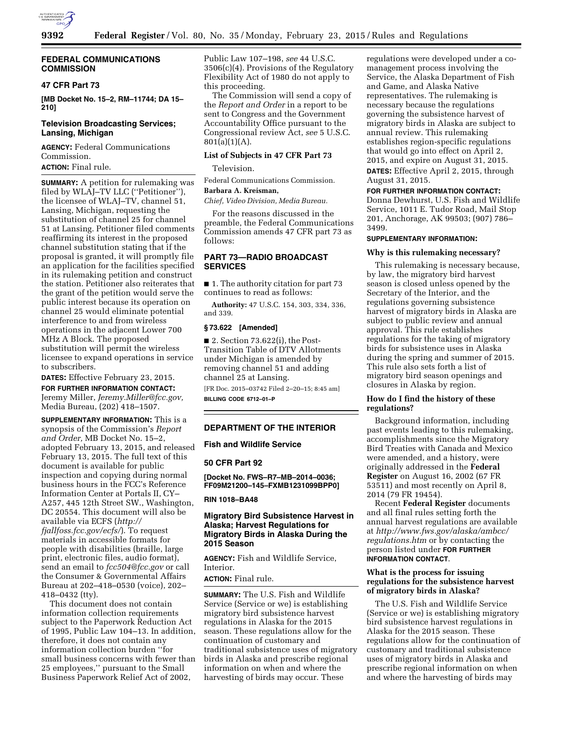

# **FEDERAL COMMUNICATIONS COMMISSION**

### **47 CFR Part 73**

**[MB Docket No. 15–2, RM–11744; DA 15– 210]** 

# **Television Broadcasting Services; Lansing, Michigan**

**AGENCY:** Federal Communications Commission.

**ACTION:** Final rule.

**SUMMARY:** A petition for rulemaking was filed by WLAJ–TV LLC ("Petitioner"), the licensee of WLAJ–TV, channel 51, Lansing, Michigan, requesting the substitution of channel 25 for channel 51 at Lansing. Petitioner filed comments reaffirming its interest in the proposed channel substitution stating that if the proposal is granted, it will promptly file an application for the facilities specified in its rulemaking petition and construct the station. Petitioner also reiterates that the grant of the petition would serve the public interest because its operation on channel 25 would eliminate potential interference to and from wireless operations in the adjacent Lower 700 MHz A Block. The proposed substitution will permit the wireless licensee to expand operations in service to subscribers.

**DATES:** Effective February 23, 2015. **FOR FURTHER INFORMATION CONTACT:**  Jeremy Miller, *[Jeremy.Miller@fcc.gov,](mailto:Jeremy.Miller@fcc.gov)* 

Media Bureau, (202) 418–1507.

**SUPPLEMENTARY INFORMATION:** This is a synopsis of the Commission's *Report and Order,* MB Docket No. 15–2, adopted February 13, 2015, and released February 13, 2015. The full text of this document is available for public inspection and copying during normal business hours in the FCC's Reference Information Center at Portals II, CY– A257, 445 12th Street SW., Washington, DC 20554. This document will also be available via ECFS (*[http://](http://fjallfoss.fcc.gov/ecfs/) [fjallfoss.fcc.gov/ecfs/](http://fjallfoss.fcc.gov/ecfs/)*). To request materials in accessible formats for people with disabilities (braille, large print, electronic files, audio format), send an email to *[fcc504@fcc.gov](mailto:fcc504@fcc.gov)* or call the Consumer & Governmental Affairs Bureau at 202–418–0530 (voice), 202– 418–0432 (tty).

This document does not contain information collection requirements subject to the Paperwork Reduction Act of 1995, Public Law 104–13. In addition, therefore, it does not contain any information collection burden ''for small business concerns with fewer than 25 employees,'' pursuant to the Small Business Paperwork Relief Act of 2002,

Public Law 107–198, *see* 44 U.S.C. 3506(c)(4). Provisions of the Regulatory Flexibility Act of 1980 do not apply to this proceeding.

The Commission will send a copy of the *Report and Order* in a report to be sent to Congress and the Government Accountability Office pursuant to the Congressional review Act, *see* 5 U.S.C.  $801(a)(1)(A)$ .

## **List of Subjects in 47 CFR Part 73**

Television.

Federal Communications Commission.

# **Barbara A. Kreisman,**

*Chief, Video Division, Media Bureau.* 

For the reasons discussed in the preamble, the Federal Communications Commission amends 47 CFR part 73 as follows:

# **PART 73—RADIO BROADCAST SERVICES**

■ 1. The authority citation for part 73 continues to read as follows:

**Authority:** 47 U.S.C. 154, 303, 334, 336, and 339.

# **§ 73.622 [Amended]**

 $\blacksquare$  2. Section 73.622(i), the Post-Transition Table of DTV Allotments under Michigan is amended by removing channel 51 and adding channel 25 at Lansing.

[FR Doc. 2015–03742 Filed 2–20–15; 8:45 am] **BILLING CODE 6712–01–P** 

# **DEPARTMENT OF THE INTERIOR**

### **Fish and Wildlife Service**

### **50 CFR Part 92**

**[Docket No. FWS–R7–MB–2014–0036; FF09M21200–145–FXMB1231099BPP0]** 

### **RIN 1018–BA48**

# **Migratory Bird Subsistence Harvest in Alaska; Harvest Regulations for Migratory Birds in Alaska During the 2015 Season**

**AGENCY:** Fish and Wildlife Service, Interior.

### **ACTION:** Final rule.

**SUMMARY:** The U.S. Fish and Wildlife Service (Service or we) is establishing migratory bird subsistence harvest regulations in Alaska for the 2015 season. These regulations allow for the continuation of customary and traditional subsistence uses of migratory birds in Alaska and prescribe regional information on when and where the harvesting of birds may occur. These

regulations were developed under a comanagement process involving the Service, the Alaska Department of Fish and Game, and Alaska Native representatives. The rulemaking is necessary because the regulations governing the subsistence harvest of migratory birds in Alaska are subject to annual review. This rulemaking establishes region-specific regulations that would go into effect on April 2, 2015, and expire on August 31, 2015.

**DATES:** Effective April 2, 2015, through August 31, 2015.

# **FOR FURTHER INFORMATION CONTACT:**

Donna Dewhurst, U.S. Fish and Wildlife Service, 1011 E. Tudor Road, Mail Stop 201, Anchorage, AK 99503; (907) 786– 3499.

# **SUPPLEMENTARY INFORMATION:**

### **Why is this rulemaking necessary?**

This rulemaking is necessary because, by law, the migratory bird harvest season is closed unless opened by the Secretary of the Interior, and the regulations governing subsistence harvest of migratory birds in Alaska are subject to public review and annual approval. This rule establishes regulations for the taking of migratory birds for subsistence uses in Alaska during the spring and summer of 2015. This rule also sets forth a list of migratory bird season openings and closures in Alaska by region.

## **How do I find the history of these regulations?**

Background information, including past events leading to this rulemaking, accomplishments since the Migratory Bird Treaties with Canada and Mexico were amended, and a history, were originally addressed in the **Federal Register** on August 16, 2002 (67 FR 53511) and most recently on April 8, 2014 (79 FR 19454).

Recent **Federal Register** documents and all final rules setting forth the annual harvest regulations are available at *[http://www.fws.gov/alaska/ambcc/](http://www.fws.gov/alaska/ambcc/regulations.htm) [regulations.htm](http://www.fws.gov/alaska/ambcc/regulations.htm)* or by contacting the person listed under **FOR FURTHER INFORMATION CONTACT**.

## **What is the process for issuing regulations for the subsistence harvest of migratory birds in Alaska?**

The U.S. Fish and Wildlife Service (Service or we) is establishing migratory bird subsistence harvest regulations in Alaska for the 2015 season. These regulations allow for the continuation of customary and traditional subsistence uses of migratory birds in Alaska and prescribe regional information on when and where the harvesting of birds may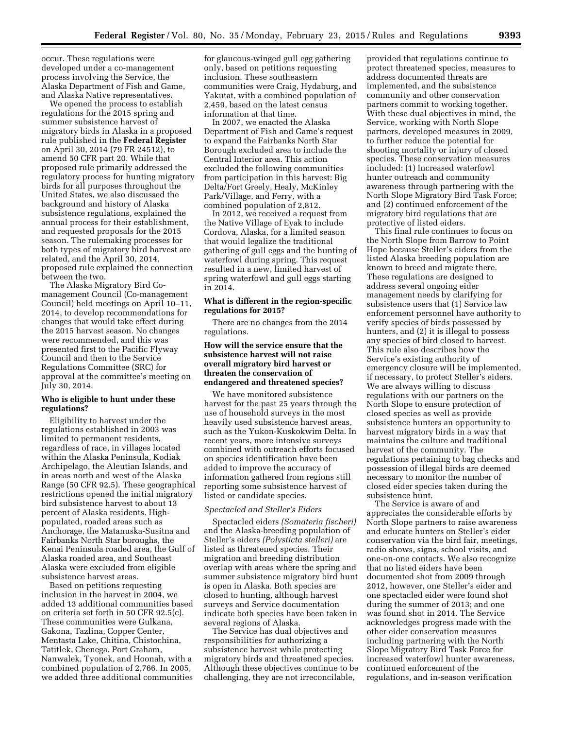occur. These regulations were developed under a co-management process involving the Service, the Alaska Department of Fish and Game, and Alaska Native representatives.

We opened the process to establish regulations for the 2015 spring and summer subsistence harvest of migratory birds in Alaska in a proposed rule published in the **Federal Register**  on April 30, 2014 (79 FR 24512), to amend 50 CFR part 20. While that proposed rule primarily addressed the regulatory process for hunting migratory birds for all purposes throughout the United States, we also discussed the background and history of Alaska subsistence regulations, explained the annual process for their establishment, and requested proposals for the 2015 season. The rulemaking processes for both types of migratory bird harvest are related, and the April 30, 2014, proposed rule explained the connection between the two.

The Alaska Migratory Bird Comanagement Council (Co-management Council) held meetings on April 10–11, 2014, to develop recommendations for changes that would take effect during the 2015 harvest season. No changes were recommended, and this was presented first to the Pacific Flyway Council and then to the Service Regulations Committee (SRC) for approval at the committee's meeting on July 30, 2014.

## **Who is eligible to hunt under these regulations?**

Eligibility to harvest under the regulations established in 2003 was limited to permanent residents, regardless of race, in villages located within the Alaska Peninsula, Kodiak Archipelago, the Aleutian Islands, and in areas north and west of the Alaska Range (50 CFR 92.5). These geographical restrictions opened the initial migratory bird subsistence harvest to about 13 percent of Alaska residents. Highpopulated, roaded areas such as Anchorage, the Matanuska-Susitna and Fairbanks North Star boroughs, the Kenai Peninsula roaded area, the Gulf of Alaska roaded area, and Southeast Alaska were excluded from eligible subsistence harvest areas.

Based on petitions requesting inclusion in the harvest in 2004, we added 13 additional communities based on criteria set forth in 50 CFR 92.5(c). These communities were Gulkana, Gakona, Tazlina, Copper Center, Mentasta Lake, Chitina, Chistochina, Tatitlek, Chenega, Port Graham, Nanwalek, Tyonek, and Hoonah, with a combined population of 2,766. In 2005, we added three additional communities

for glaucous-winged gull egg gathering only, based on petitions requesting inclusion. These southeastern communities were Craig, Hydaburg, and Yakutat, with a combined population of 2,459, based on the latest census information at that time.

In 2007, we enacted the Alaska Department of Fish and Game's request to expand the Fairbanks North Star Borough excluded area to include the Central Interior area. This action excluded the following communities from participation in this harvest: Big Delta/Fort Greely, Healy, McKinley Park/Village, and Ferry, with a combined population of 2,812.

In 2012, we received a request from the Native Village of Eyak to include Cordova, Alaska, for a limited season that would legalize the traditional gathering of gull eggs and the hunting of waterfowl during spring. This request resulted in a new, limited harvest of spring waterfowl and gull eggs starting in 2014.

# **What is different in the region-specific regulations for 2015?**

There are no changes from the 2014 regulations.

# **How will the service ensure that the subsistence harvest will not raise overall migratory bird harvest or threaten the conservation of endangered and threatened species?**

We have monitored subsistence harvest for the past 25 years through the use of household surveys in the most heavily used subsistence harvest areas, such as the Yukon-Kuskokwim Delta. In recent years, more intensive surveys combined with outreach efforts focused on species identification have been added to improve the accuracy of information gathered from regions still reporting some subsistence harvest of listed or candidate species.

# *Spectacled and Steller's Eiders*

Spectacled eiders *(Somateria fischeri)*  and the Alaska-breeding population of Steller's eiders *(Polysticta stelleri)* are listed as threatened species. Their migration and breeding distribution overlap with areas where the spring and summer subsistence migratory bird hunt is open in Alaska. Both species are closed to hunting, although harvest surveys and Service documentation indicate both species have been taken in several regions of Alaska.

The Service has dual objectives and responsibilities for authorizing a subsistence harvest while protecting migratory birds and threatened species. Although these objectives continue to be challenging, they are not irreconcilable,

provided that regulations continue to protect threatened species, measures to address documented threats are implemented, and the subsistence community and other conservation partners commit to working together. With these dual objectives in mind, the Service, working with North Slope partners, developed measures in 2009, to further reduce the potential for shooting mortality or injury of closed species. These conservation measures included: (1) Increased waterfowl hunter outreach and community awareness through partnering with the North Slope Migratory Bird Task Force; and (2) continued enforcement of the migratory bird regulations that are protective of listed eiders.

This final rule continues to focus on the North Slope from Barrow to Point Hope because Steller's eiders from the listed Alaska breeding population are known to breed and migrate there. These regulations are designed to address several ongoing eider management needs by clarifying for subsistence users that (1) Service law enforcement personnel have authority to verify species of birds possessed by hunters, and (2) it is illegal to possess any species of bird closed to harvest. This rule also describes how the Service's existing authority of emergency closure will be implemented, if necessary, to protect Steller's eiders. We are always willing to discuss regulations with our partners on the North Slope to ensure protection of closed species as well as provide subsistence hunters an opportunity to harvest migratory birds in a way that maintains the culture and traditional harvest of the community. The regulations pertaining to bag checks and possession of illegal birds are deemed necessary to monitor the number of closed eider species taken during the subsistence hunt.

The Service is aware of and appreciates the considerable efforts by North Slope partners to raise awareness and educate hunters on Steller's eider conservation via the bird fair, meetings, radio shows, signs, school visits, and one-on-one contacts. We also recognize that no listed eiders have been documented shot from 2009 through 2012, however, one Steller's eider and one spectacled eider were found shot during the summer of 2013; and one was found shot in 2014. The Service acknowledges progress made with the other eider conservation measures including partnering with the North Slope Migratory Bird Task Force for increased waterfowl hunter awareness, continued enforcement of the regulations, and in-season verification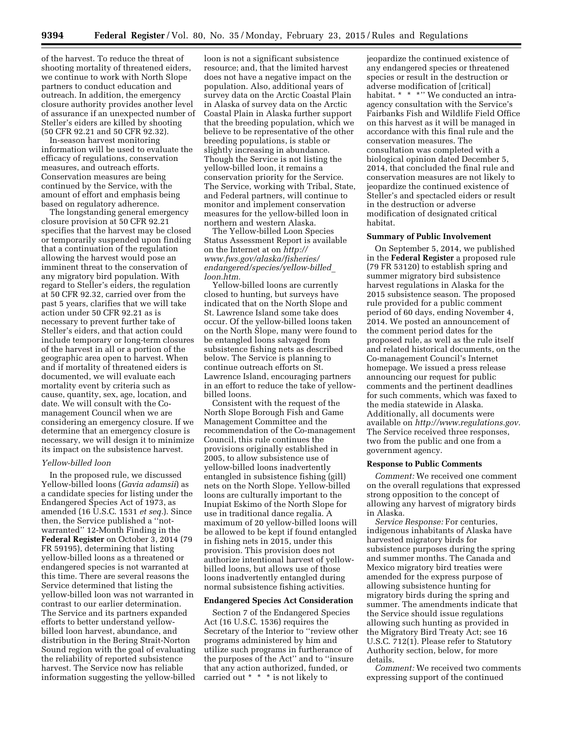of the harvest. To reduce the threat of shooting mortality of threatened eiders, we continue to work with North Slope partners to conduct education and outreach. In addition, the emergency closure authority provides another level of assurance if an unexpected number of Steller's eiders are killed by shooting (50 CFR 92.21 and 50 CFR 92.32).

In-season harvest monitoring information will be used to evaluate the efficacy of regulations, conservation measures, and outreach efforts. Conservation measures are being continued by the Service, with the amount of effort and emphasis being based on regulatory adherence.

The longstanding general emergency closure provision at 50 CFR 92.21 specifies that the harvest may be closed or temporarily suspended upon finding that a continuation of the regulation allowing the harvest would pose an imminent threat to the conservation of any migratory bird population. With regard to Steller's eiders, the regulation at 50 CFR 92.32, carried over from the past 5 years, clarifies that we will take action under 50 CFR 92.21 as is necessary to prevent further take of Steller's eiders, and that action could include temporary or long-term closures of the harvest in all or a portion of the geographic area open to harvest. When and if mortality of threatened eiders is documented, we will evaluate each mortality event by criteria such as cause, quantity, sex, age, location, and date. We will consult with the Comanagement Council when we are considering an emergency closure. If we determine that an emergency closure is necessary, we will design it to minimize its impact on the subsistence harvest.

#### *Yellow-billed loon*

In the proposed rule, we discussed Yellow-billed loons (*Gavia adamsii*) as a candidate species for listing under the Endangered Species Act of 1973, as amended (16 U.S.C. 1531 *et seq.*). Since then, the Service published a ''notwarranted'' 12-Month Finding in the **Federal Register** on October 3, 2014 (79 FR 59195), determining that listing yellow-billed loons as a threatened or endangered species is not warranted at this time. There are several reasons the Service determined that listing the yellow-billed loon was not warranted in contrast to our earlier determination. The Service and its partners expanded efforts to better understand yellowbilled loon harvest, abundance, and distribution in the Bering Strait-Norton Sound region with the goal of evaluating the reliability of reported subsistence harvest. The Service now has reliable information suggesting the yellow-billed

loon is not a significant subsistence resource; and, that the limited harvest does not have a negative impact on the population. Also, additional years of survey data on the Arctic Coastal Plain in Alaska of survey data on the Arctic Coastal Plain in Alaska further support that the breeding population, which we believe to be representative of the other breeding populations, is stable or slightly increasing in abundance. Though the Service is not listing the yellow-billed loon, it remains a conservation priority for the Service. The Service, working with Tribal, State, and Federal partners, will continue to monitor and implement conservation measures for the yellow-billed loon in northern and western Alaska.

The Yellow-billed Loon Species Status Assessment Report is available on the Internet at on *[http://](http://www.fws.gov/alaska/fisheries/endangered/species/yellow-billed_loon.htm) [www.fws.gov/alaska/fisheries/](http://www.fws.gov/alaska/fisheries/endangered/species/yellow-billed_loon.htm) [endangered/species/yellow-billed](http://www.fws.gov/alaska/fisheries/endangered/species/yellow-billed_loon.htm)*\_ *[loon.htm.](http://www.fws.gov/alaska/fisheries/endangered/species/yellow-billed_loon.htm)* 

Yellow-billed loons are currently closed to hunting, but surveys have indicated that on the North Slope and St. Lawrence Island some take does occur. Of the yellow-billed loons taken on the North Slope, many were found to be entangled loons salvaged from subsistence fishing nets as described below. The Service is planning to continue outreach efforts on St. Lawrence Island, encouraging partners in an effort to reduce the take of yellowbilled loons.

Consistent with the request of the North Slope Borough Fish and Game Management Committee and the recommendation of the Co-management Council, this rule continues the provisions originally established in 2005, to allow subsistence use of yellow-billed loons inadvertently entangled in subsistence fishing (gill) nets on the North Slope. Yellow-billed loons are culturally important to the Inupiat Eskimo of the North Slope for use in traditional dance regalia. A maximum of 20 yellow-billed loons will be allowed to be kept if found entangled in fishing nets in 2015, under this provision. This provision does not authorize intentional harvest of yellowbilled loons, but allows use of those loons inadvertently entangled during normal subsistence fishing activities.

# **Endangered Species Act Consideration**

Section 7 of the Endangered Species Act (16 U.S.C. 1536) requires the Secretary of the Interior to ''review other programs administered by him and utilize such programs in furtherance of the purposes of the Act'' and to ''insure that any action authorized, funded, or carried out \* \* \* is not likely to

jeopardize the continued existence of any endangered species or threatened species or result in the destruction or adverse modification of [critical] habitat. \* \* \*'' We conducted an intraagency consultation with the Service's Fairbanks Fish and Wildlife Field Office on this harvest as it will be managed in accordance with this final rule and the conservation measures. The consultation was completed with a biological opinion dated December 5, 2014, that concluded the final rule and conservation measures are not likely to jeopardize the continued existence of Steller's and spectacled eiders or result in the destruction or adverse modification of designated critical habitat.

### **Summary of Public Involvement**

On September 5, 2014, we published in the **Federal Register** a proposed rule (79 FR 53120) to establish spring and summer migratory bird subsistence harvest regulations in Alaska for the 2015 subsistence season. The proposed rule provided for a public comment period of 60 days, ending November 4, 2014. We posted an announcement of the comment period dates for the proposed rule, as well as the rule itself and related historical documents, on the Co-management Council's Internet homepage. We issued a press release announcing our request for public comments and the pertinent deadlines for such comments, which was faxed to the media statewide in Alaska. Additionally, all documents were available on *[http://www.regulations.gov.](http://www.regulations.gov)*  The Service received three responses, two from the public and one from a government agency.

### **Response to Public Comments**

*Comment:* We received one comment on the overall regulations that expressed strong opposition to the concept of allowing any harvest of migratory birds in Alaska.

*Service Response:* For centuries, indigenous inhabitants of Alaska have harvested migratory birds for subsistence purposes during the spring and summer months. The Canada and Mexico migratory bird treaties were amended for the express purpose of allowing subsistence hunting for migratory birds during the spring and summer. The amendments indicate that the Service should issue regulations allowing such hunting as provided in the Migratory Bird Treaty Act; see 16 U.S.C. 712(1). Please refer to Statutory Authority section, below, for more details.

*Comment:* We received two comments expressing support of the continued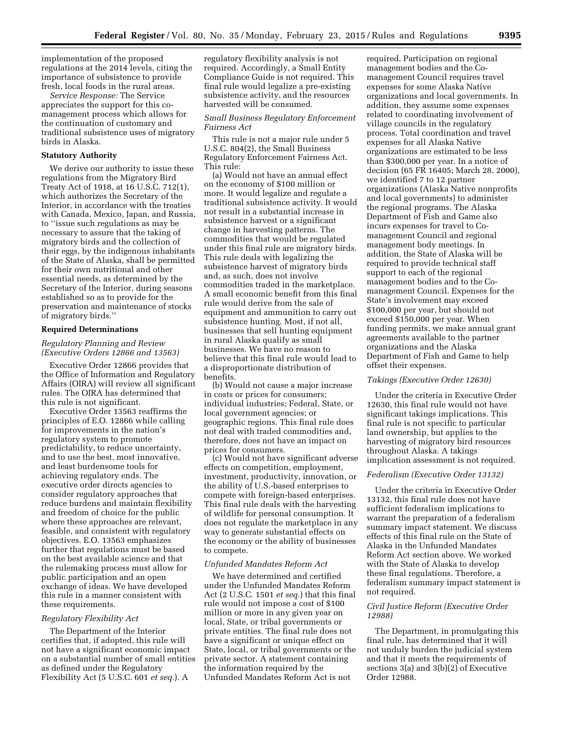implementation of the proposed regulations at the 2014 levels, citing the importance of subsistence to provide fresh, local foods in the rural areas.

*Service Response:* The Service appreciates the support for this comanagement process which allows for the continuation of customary and traditional subsistence uses of migratory birds in Alaska.

### **Statutory Authority**

We derive our authority to issue these regulations from the Migratory Bird Treaty Act of 1918, at 16 U.S.C. 712(1), which authorizes the Secretary of the Interior, in accordance with the treaties with Canada, Mexico, Japan, and Russia, to ''issue such regulations as may be necessary to assure that the taking of migratory birds and the collection of their eggs, by the indigenous inhabitants of the State of Alaska, shall be permitted for their own nutritional and other essential needs, as determined by the Secretary of the Interior, during seasons established so as to provide for the preservation and maintenance of stocks of migratory birds.''

#### **Required Determinations**

# *Regulatory Planning and Review (Executive Orders 12866 and 13563)*

Executive Order 12866 provides that the Office of Information and Regulatory Affairs (OIRA) will review all significant rules. The OIRA has determined that this rule is not significant.

Executive Order 13563 reaffirms the principles of E.O. 12866 while calling for improvements in the nation's regulatory system to promote predictability, to reduce uncertainty, and to use the best, most innovative, and least burdensome tools for achieving regulatory ends. The executive order directs agencies to consider regulatory approaches that reduce burdens and maintain flexibility and freedom of choice for the public where these approaches are relevant, feasible, and consistent with regulatory objectives. E.O. 13563 emphasizes further that regulations must be based on the best available science and that the rulemaking process must allow for public participation and an open exchange of ideas. We have developed this rule in a manner consistent with these requirements.

#### *Regulatory Flexibility Act*

The Department of the Interior certifies that, if adopted, this rule will not have a significant economic impact on a substantial number of small entities as defined under the Regulatory Flexibility Act (5 U.S.C. 601 *et seq.*). A

regulatory flexibility analysis is not required. Accordingly, a Small Entity Compliance Guide is not required. This final rule would legalize a pre-existing subsistence activity, and the resources harvested will be consumed.

### *Small Business Regulatory Enforcement Fairness Act*

This rule is not a major rule under 5 U.S.C. 804(2), the Small Business Regulatory Enforcement Fairness Act. This rule:

(a) Would not have an annual effect on the economy of \$100 million or more. It would legalize and regulate a traditional subsistence activity. It would not result in a substantial increase in subsistence harvest or a significant change in harvesting patterns. The commodities that would be regulated under this final rule are migratory birds. This rule deals with legalizing the subsistence harvest of migratory birds and, as such, does not involve commodities traded in the marketplace. A small economic benefit from this final rule would derive from the sale of equipment and ammunition to carry out subsistence hunting. Most, if not all, businesses that sell hunting equipment in rural Alaska qualify as small businesses. We have no reason to believe that this final rule would lead to a disproportionate distribution of benefits.

(b) Would not cause a major increase in costs or prices for consumers; individual industries; Federal, State, or local government agencies; or geographic regions. This final rule does not deal with traded commodities and, therefore, does not have an impact on prices for consumers.

(c) Would not have significant adverse effects on competition, employment, investment, productivity, innovation, or the ability of U.S.-based enterprises to compete with foreign-based enterprises. This final rule deals with the harvesting of wildlife for personal consumption. It does not regulate the marketplace in any way to generate substantial effects on the economy or the ability of businesses to compete.

### *Unfunded Mandates Reform Act*

We have determined and certified under the Unfunded Mandates Reform Act (2 U.S.C. 1501 *et seq.*) that this final rule would not impose a cost of \$100 million or more in any given year on local, State, or tribal governments or private entities. The final rule does not have a significant or unique effect on State, local, or tribal governments or the private sector. A statement containing the information required by the Unfunded Mandates Reform Act is not

required. Participation on regional management bodies and the Comanagement Council requires travel expenses for some Alaska Native organizations and local governments. In addition, they assume some expenses related to coordinating involvement of village councils in the regulatory process. Total coordination and travel expenses for all Alaska Native organizations are estimated to be less than \$300,000 per year. In a notice of decision (65 FR 16405; March 28, 2000), we identified 7 to 12 partner organizations (Alaska Native nonprofits and local governments) to administer the regional programs. The Alaska Department of Fish and Game also incurs expenses for travel to Comanagement Council and regional management body meetings. In addition, the State of Alaska will be required to provide technical staff support to each of the regional management bodies and to the Comanagement Council. Expenses for the State's involvement may exceed \$100,000 per year, but should not exceed \$150,000 per year. When funding permits, we make annual grant agreements available to the partner organizations and the Alaska Department of Fish and Game to help offset their expenses.

# *Takings (Executive Order 12630)*

Under the criteria in Executive Order 12630, this final rule would not have significant takings implications. This final rule is not specific to particular land ownership, but applies to the harvesting of migratory bird resources throughout Alaska. A takings implication assessment is not required.

### *Federalism (Executive Order 13132)*

Under the criteria in Executive Order 13132, this final rule does not have sufficient federalism implications to warrant the preparation of a federalism summary impact statement. We discuss effects of this final rule on the State of Alaska in the Unfunded Mandates Reform Act section above. We worked with the State of Alaska to develop these final regulations. Therefore, a federalism summary impact statement is not required.

## *Civil Justice Reform (Executive Order 12988)*

The Department, in promulgating this final rule, has determined that it will not unduly burden the judicial system and that it meets the requirements of sections  $3(a)$  and  $3(b)(2)$  of Executive Order 12988.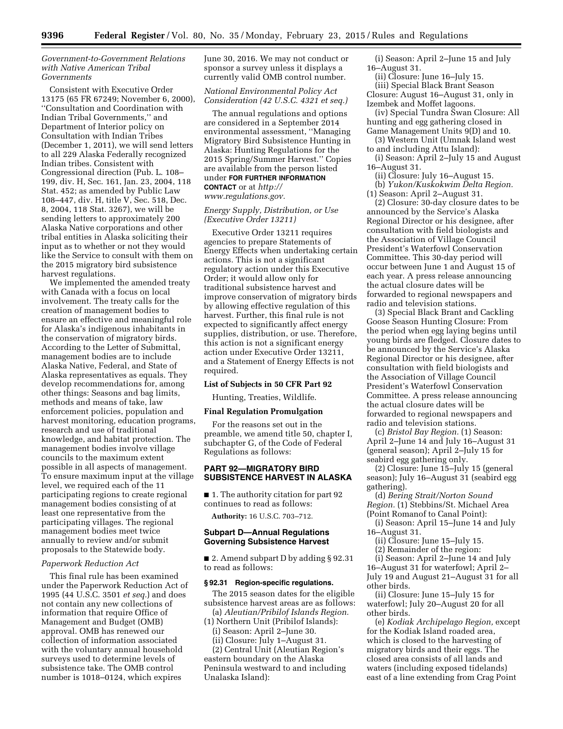### *Government-to-Government Relations with Native American Tribal Governments*

Consistent with Executive Order 13175 (65 FR 67249; November 6, 2000), ''Consultation and Coordination with Indian Tribal Governments,'' and Department of Interior policy on Consultation with Indian Tribes (December 1, 2011), we will send letters to all 229 Alaska Federally recognized Indian tribes. Consistent with Congressional direction (Pub. L. 108– 199, div. H, Sec. 161, Jan. 23, 2004, 118 Stat. 452; as amended by Public Law 108–447, div. H, title V, Sec. 518, Dec. 8, 2004, 118 Stat. 3267), we will be sending letters to approximately 200 Alaska Native corporations and other tribal entities in Alaska soliciting their input as to whether or not they would like the Service to consult with them on the 2015 migratory bird subsistence harvest regulations.

We implemented the amended treaty with Canada with a focus on local involvement. The treaty calls for the creation of management bodies to ensure an effective and meaningful role for Alaska's indigenous inhabitants in the conservation of migratory birds. According to the Letter of Submittal, management bodies are to include Alaska Native, Federal, and State of Alaska representatives as equals. They develop recommendations for, among other things: Seasons and bag limits, methods and means of take, law enforcement policies, population and harvest monitoring, education programs, research and use of traditional knowledge, and habitat protection. The management bodies involve village councils to the maximum extent possible in all aspects of management. To ensure maximum input at the village level, we required each of the 11 participating regions to create regional management bodies consisting of at least one representative from the participating villages. The regional management bodies meet twice annually to review and/or submit proposals to the Statewide body.

### *Paperwork Reduction Act*

This final rule has been examined under the Paperwork Reduction Act of 1995 (44 U.S.C. 3501 *et seq.*) and does not contain any new collections of information that require Office of Management and Budget (OMB) approval. OMB has renewed our collection of information associated with the voluntary annual household surveys used to determine levels of subsistence take. The OMB control number is 1018–0124, which expires

June 30, 2016. We may not conduct or sponsor a survey unless it displays a currently valid OMB control number.

### *National Environmental Policy Act Consideration (42 U.S.C. 4321 et seq.)*

The annual regulations and options are considered in a September 2014 environmental assessment, ''Managing Migratory Bird Subsistence Hunting in Alaska: Hunting Regulations for the 2015 Spring/Summer Harvest.'' Copies are available from the person listed under **FOR FURTHER INFORMATION CONTACT** or at *[http://](http://www.regulations.gov) [www.regulations.gov.](http://www.regulations.gov)* 

### *Energy Supply, Distribution, or Use (Executive Order 13211)*

Executive Order 13211 requires agencies to prepare Statements of Energy Effects when undertaking certain actions. This is not a significant regulatory action under this Executive Order; it would allow only for traditional subsistence harvest and improve conservation of migratory birds by allowing effective regulation of this harvest. Further, this final rule is not expected to significantly affect energy supplies, distribution, or use. Therefore, this action is not a significant energy action under Executive Order 13211, and a Statement of Energy Effects is not required.

### **List of Subjects in 50 CFR Part 92**

Hunting, Treaties, Wildlife.

#### **Final Regulation Promulgation**

For the reasons set out in the preamble, we amend title 50, chapter I, subchapter G, of the Code of Federal Regulations as follows:

### **PART 92—MIGRATORY BIRD SUBSISTENCE HARVEST IN ALASKA**

■ 1. The authority citation for part 92 continues to read as follows:

**Authority:** 16 U.S.C. 703–712.

# **Subpart D—Annual Regulations Governing Subsistence Harvest**

■ 2. Amend subpart D by adding § 92.31 to read as follows:

## **§ 92.31 Region-specific regulations.**

The 2015 season dates for the eligible subsistence harvest areas are as follows: (a) *Aleutian/Pribilof Islands Region.* 

(1) Northern Unit (Pribilof Islands):

(i) Season: April 2–June 30.

(ii) Closure: July 1–August 31.

(2) Central Unit (Aleutian Region's eastern boundary on the Alaska Peninsula westward to and including Unalaska Island):

(i) Season: April 2–June 15 and July 16–August 31.

(ii) Closure: June 16–July 15. (iii) Special Black Brant Season Closure: August 16–August 31, only in Izembek and Moffet lagoons.

(iv) Special Tundra Swan Closure: All hunting and egg gathering closed in Game Management Units 9(D) and 10.

(3) Western Unit (Umnak Island west to and including Attu Island):

(i) Season: April 2–July 15 and August 16–August 31.

(ii) Closure: July 16–August 15. (b) *Yukon/Kuskokwim Delta Region.* 

(1) Season: April 2–August 31.

(2) Closure: 30-day closure dates to be announced by the Service's Alaska Regional Director or his designee, after consultation with field biologists and the Association of Village Council President's Waterfowl Conservation Committee. This 30-day period will occur between June 1 and August 15 of each year. A press release announcing the actual closure dates will be forwarded to regional newspapers and radio and television stations.

(3) Special Black Brant and Cackling Goose Season Hunting Closure: From the period when egg laying begins until young birds are fledged. Closure dates to be announced by the Service's Alaska Regional Director or his designee, after consultation with field biologists and the Association of Village Council President's Waterfowl Conservation Committee. A press release announcing the actual closure dates will be forwarded to regional newspapers and radio and television stations.

(c) *Bristol Bay Region.* (1) Season: April 2–June 14 and July 16–August 31 (general season); April 2–July 15 for seabird egg gathering only.

(2) Closure: June 15–July 15 (general season); July 16–August 31 (seabird egg gathering).

(d) *Bering Strait/Norton Sound Region.* (1) Stebbins/St. Michael Area (Point Romanof to Canal Point):

(i) Season: April 15–June 14 and July 16–August 31.

(ii) Closure: June 15–July 15.

(2) Remainder of the region:

(i) Season: April 2–June 14 and July 16–August 31 for waterfowl; April 2– July 19 and August 21–August 31 for all other birds.

(ii) Closure: June 15–July 15 for waterfowl; July 20–August 20 for all other birds.

(e) *Kodiak Archipelago Region,* except for the Kodiak Island roaded area, which is closed to the harvesting of migratory birds and their eggs. The closed area consists of all lands and waters (including exposed tidelands) east of a line extending from Crag Point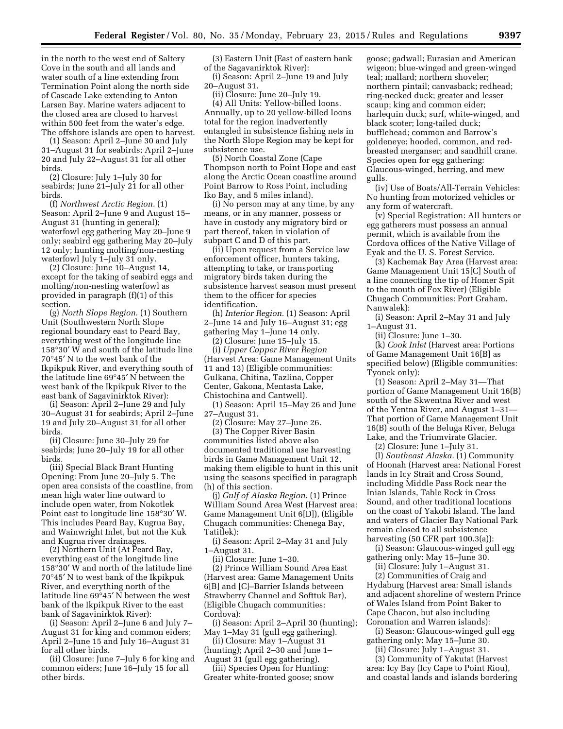in the north to the west end of Saltery Cove in the south and all lands and water south of a line extending from Termination Point along the north side of Cascade Lake extending to Anton Larsen Bay. Marine waters adjacent to the closed area are closed to harvest within 500 feet from the water's edge. The offshore islands are open to harvest.

(1) Season: April 2–June 30 and July 31–August 31 for seabirds; April 2–June 20 and July 22–August 31 for all other birds.

(2) Closure: July 1–July 30 for seabirds; June 21–July 21 for all other birds.

(f) *Northwest Arctic Region.* (1) Season: April 2–June 9 and August 15– August 31 (hunting in general); waterfowl egg gathering May 20–June 9 only; seabird egg gathering May 20–July 12 only; hunting molting/non-nesting waterfowl July 1–July 31 only.

(2) Closure: June 10–August 14, except for the taking of seabird eggs and molting/non-nesting waterfowl as provided in paragraph (f)(1) of this section.

(g) *North Slope Region.* (1) Southern Unit (Southwestern North Slope regional boundary east to Peard Bay, everything west of the longitude line 158°30′ W and south of the latitude line 70°45′ N to the west bank of the Ikpikpuk River, and everything south of the latitude line 69°45′ N between the west bank of the Ikpikpuk River to the east bank of Sagavinirktok River):

(i) Season: April 2–June 29 and July 30–August 31 for seabirds; April 2–June 19 and July 20–August 31 for all other birds.

(ii) Closure: June 30–July 29 for seabirds; June 20–July 19 for all other birds.

(iii) Special Black Brant Hunting Opening: From June 20–July 5. The open area consists of the coastline, from mean high water line outward to include open water, from Nokotlek Point east to longitude line 158°30′ W. This includes Peard Bay, Kugrua Bay, and Wainwright Inlet, but not the Kuk and Kugrua river drainages.

(2) Northern Unit (At Peard Bay, everything east of the longitude line 158°30′ W and north of the latitude line 70°45′ N to west bank of the Ikpikpuk River, and everything north of the latitude line 69°45′ N between the west bank of the Ikpikpuk River to the east bank of Sagavinirktok River):

(i) Season: April 2–June 6 and July 7– August 31 for king and common eiders; April 2–June 15 and July 16–August 31 for all other birds.

(ii) Closure: June 7–July 6 for king and common eiders; June 16–July 15 for all other birds.

(3) Eastern Unit (East of eastern bank of the Sagavanirktok River):

(i) Season: April 2–June 19 and July 20–August 31.

(ii) Closure: June 20–July 19.

(4) All Units: Yellow-billed loons. Annually, up to 20 yellow-billed loons total for the region inadvertently entangled in subsistence fishing nets in the North Slope Region may be kept for subsistence use.

(5) North Coastal Zone (Cape Thompson north to Point Hope and east along the Arctic Ocean coastline around Point Barrow to Ross Point, including Iko Bay, and 5 miles inland).

(i) No person may at any time, by any means, or in any manner, possess or have in custody any migratory bird or part thereof, taken in violation of subpart C and D of this part.

(ii) Upon request from a Service law enforcement officer, hunters taking, attempting to take, or transporting migratory birds taken during the subsistence harvest season must present them to the officer for species identification.

(h) *Interior Region.* (1) Season: April 2–June 14 and July 16–August 31; egg gathering May 1–June 14 only.

(2) Closure: June 15–July 15.

(i) *Upper Copper River Region*  (Harvest Area: Game Management Units 11 and 13) (Eligible communities: Gulkana, Chitina, Tazlina, Copper Center, Gakona, Mentasta Lake, Chistochina and Cantwell).

(1) Season: April 15–May 26 and June 27–August 31.

(2) Closure: May 27–June 26.

(3) The Copper River Basin communities listed above also documented traditional use harvesting birds in Game Management Unit 12, making them eligible to hunt in this unit using the seasons specified in paragraph (h) of this section.

(j) *Gulf of Alaska Region.* (1) Prince William Sound Area West (Harvest area: Game Management Unit 6[D]), (Eligible Chugach communities: Chenega Bay, Tatitlek):

(i) Season: April 2–May 31 and July 1–August 31.

(ii) Closure: June 1–30.

(2) Prince William Sound Area East (Harvest area: Game Management Units 6[B] and [C]–Barrier Islands between Strawberry Channel and Softtuk Bar), (Eligible Chugach communities: Cordova):

(i) Season: April 2–April 30 (hunting); May 1–May 31 (gull egg gathering).

(ii) Closure: May 1–August 31 (hunting); April 2–30 and June 1–

August 31 (gull egg gathering).

(iii) Species Open for Hunting: Greater white-fronted goose; snow

goose; gadwall; Eurasian and American wigeon; blue-winged and green-winged teal; mallard; northern shoveler; northern pintail; canvasback; redhead; ring-necked duck; greater and lesser scaup; king and common eider; harlequin duck; surf, white-winged, and black scoter; long-tailed duck; bufflehead; common and Barrow's goldeneye; hooded, common, and redbreasted merganser; and sandhill crane. Species open for egg gathering: Glaucous-winged, herring, and mew gulls.

(iv) Use of Boats/All-Terrain Vehicles: No hunting from motorized vehicles or any form of watercraft.

(v) Special Registration: All hunters or egg gatherers must possess an annual permit, which is available from the Cordova offices of the Native Village of Eyak and the U. S. Forest Service.

(3) Kachemak Bay Area (Harvest area: Game Management Unit 15[C] South of a line connecting the tip of Homer Spit to the mouth of Fox River) (Eligible Chugach Communities: Port Graham, Nanwalek):

(i) Season: April 2–May 31 and July 1–August 31.

(ii) Closure: June 1–30.

(k) *Cook Inlet* (Harvest area: Portions of Game Management Unit 16[B] as specified below) (Eligible communities: Tyonek only):

(1) Season: April 2–May 31—That portion of Game Management Unit 16(B) south of the Skwentna River and west of the Yentna River, and August 1–31— That portion of Game Management Unit 16(B) south of the Beluga River, Beluga Lake, and the Triumvirate Glacier.

(2) Closure: June 1–July 31.

(l) *Southeast Alaska.* (1) Community of Hoonah (Harvest area: National Forest lands in Icy Strait and Cross Sound, including Middle Pass Rock near the Inian Islands, Table Rock in Cross Sound, and other traditional locations on the coast of Yakobi Island. The land and waters of Glacier Bay National Park remain closed to all subsistence harvesting (50 CFR part 100.3(a)):

(i) Season: Glaucous-winged gull egg gathering only: May 15–June 30.

(ii) Closure: July 1–August 31.

(2) Communities of Craig and Hydaburg (Harvest area: Small islands and adjacent shoreline of western Prince of Wales Island from Point Baker to Cape Chacon, but also including Coronation and Warren islands):

(i) Season: Glaucous-winged gull egg gathering only: May 15–June 30.

(ii) Closure: July 1–August 31. (3) Community of Yakutat (Harvest area: Icy Bay (Icy Cape to Point Riou), and coastal lands and islands bordering